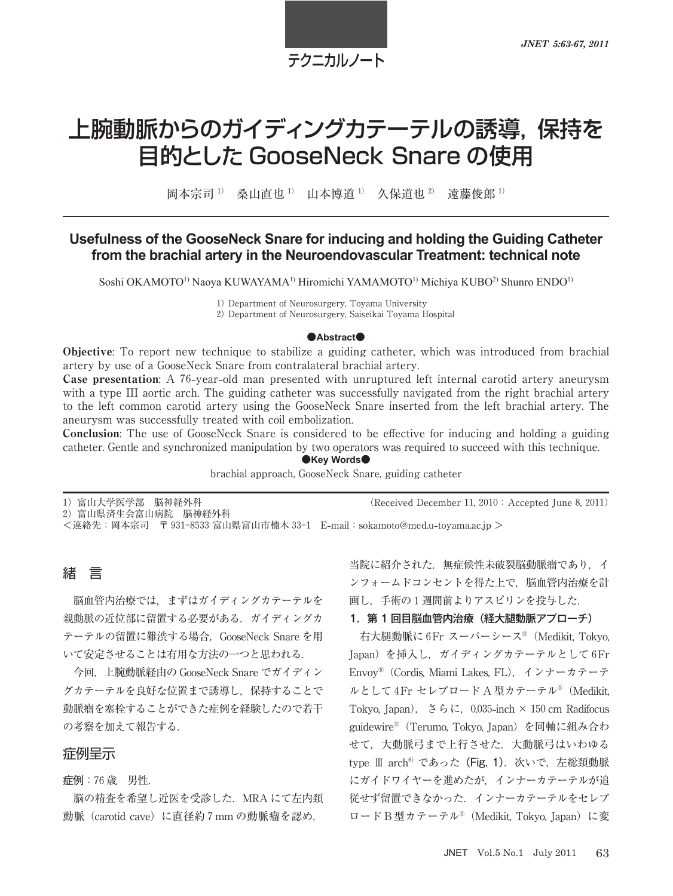テクニカルノート

# 上腕動脈からのガイディングカテーテルの誘導,保持を 目的とした GooseNeck Snare の使用

岡本宗司<sup>1)</sup> 桑山直也<sup>1)</sup> 山本博道<sup>1)</sup> 久保道也<sup>2)</sup> 遠藤俊郎<sup>1)</sup>

## Usefulness of the GooseNeck Snare for inducing and holding the Guiding Catheter **from the brachial artery in the Neuroendovascular Treatment: technical note**

Soshi OKAMOTO<sup>1)</sup> Naoya KUWAYAMA<sup>1)</sup> Hiromichi YAMAMOTO<sup>1)</sup> Michiya KUBO<sup>2)</sup> Shunro ENDO<sup>1)</sup>

Department of Neurosurgery, Toyama University

Department of Neurosurgery, Saiseikai Toyama Hospital

#### ●**Abstract**●

Objective: To report new technique to stabilize a guiding catheter, which was introduced from brachial artery by use of a GooseNeck Snare from contralateral brachial artery.

**Case presentation:** A 76-year-old man presented with unruptured left internal carotid artery aneurysm with a type III aortic arch. The guiding catheter was successfully navigated from the right brachial artery to the left common carotid artery using the GooseNeck Snare inserted from the left brachial artery. The aneurysm was successfully treated with coil embolization.

Conclusion: The use of GooseNeck Snare is considered to be effective for inducing and holding a guiding catheter. Gentle and synchronized manipulation by two operators was required to succeed with this technique.

 $\bullet$ **Key Words** $\bullet$ 

brachial approach, GooseNeck Snare, guiding catheter

1) 富山大学医学部 脳神経外科 (Received December 11, 2010: Accepted June 8, 2011)

)富山県済生会富山病院 脳神経外科

<連絡先:岡本宗司 〒 富山県富山市楠木 E**-**mail:sokamoto@med.u**-**toyama.ac.jp >

# 緒 言

脳血管内治療では,まずはガイディングカテーテルを 親動脈の近位部に留置する必要がある.ガイディングカ テーテルの留置に難渋する場合,GooseNeck Snare を用 いて安定させることは有用な方法の一つと思われる.

今回,上腕動脈経由の GooseNeck Snare でガイディン グカテーテルを良好な位置まで誘導し,保持することで 動脈瘤を塞栓することができた症例を経験したので若干 の考察を加えて報告する.

#### 症例呈示

症例: 歳 男性.

脳の精査を希望し近医を受診した.MRA にて左内頚 動脈 (carotid cave) に直径約 7 mm の動脈瘤を認め,

当院に紹介された.無症候性未破裂脳動脈瘤であり,イ ンフォームドコンセントを得た上で,脳血管内治療を計 画し、手術の1週間前よりアスピリンを投与した.

#### 1. 第 1 回目脳血管内治療 (経大腿動脈アプローチ)

右大腿動脈に Fr スーパーシース®(Medikit, Tokyo, Japan) を挿入し、ガイディングカテーテルとして6Fr Envoy®(Cordis, Miami Lakes, FL),インナーカテーテ ルとして4Fr セレブロード A 型カテーテル® (Medikit, Tokyo, Japan),  $\leq \xi$ ,  $\zeta$ , 0.035-inch  $\times$  150 cm Radifocus guidewire®(Terumo, Tokyo, Japan)を同軸に組み合わ せて,大動脈弓まで上行させた.大動脈弓はいわゆる type Ⅲ arch<sup>6)</sup>であった (Fig. 1). 次いで、左総頚動脈 にガイドワイヤーを進めたが,インナーカテーテルが追 従せず留置できなかった.インナーカテーテルをセレブ ロード B 型カテーテル®(Medikit, Tokyo, Japan)に変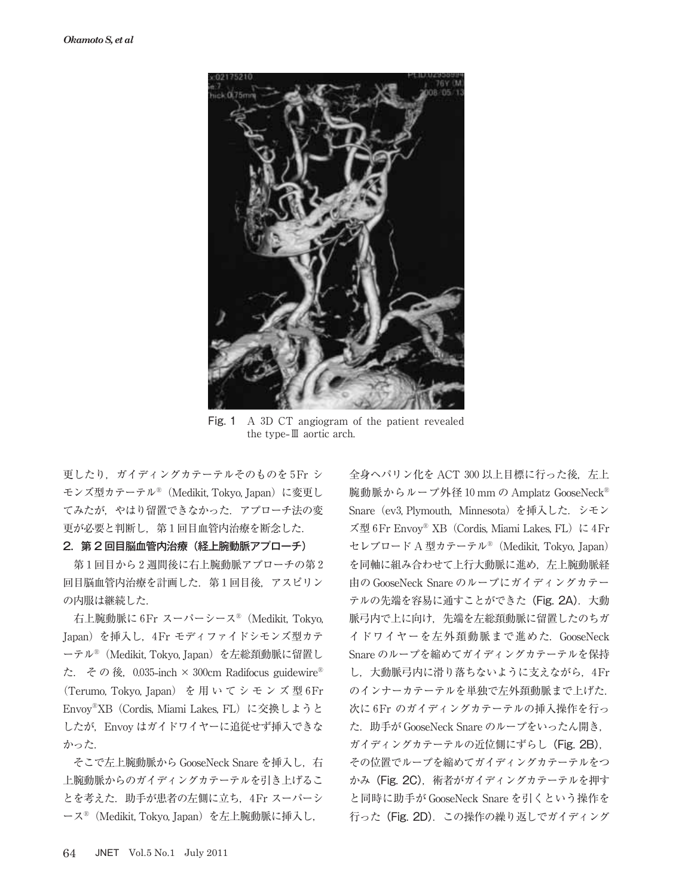

Fig. 1 A 3D CT angiogram of the patient revealed the type**-**Ⅲ aortic arch.

更したり、ガイディングカテーテルそのものを 5Fr シ モンズ型カテーテル®(Medikit, Tokyo, Japan)に変更し てみたが,やはり留置できなかった.アプローチ法の変 更が必要と判断し、第1回目血管内治療を断念した.

#### 2.第 2 回目脳血管内治療(経上腕動脈アプローチ)

第1回目から2週間後に右上腕動脈アプローチの第2 回目脳血管内治療を計画した. 第1回目後, アスピリン の内服は継続した.

右上腕動脈に Fr スーパーシース®(Medikit, Tokyo, Japan) を挿入し, 4Fr モディファイドシモンズ型カテ ーテル®(Medikit, Tokyo, Japan)を左総頚動脈に留置し た. その後, 0.035-inch × 300cm Radifocus guidewire® (Terumo, Tokyo, Japan) を用いてシモンズ型6Fr Envoy®XB(Cordis, Miami Lakes, FL)に交換しようと したが, Envoy はガイドワイヤーに追従せず挿入できな かった.

そこで左上腕動脈から GooseNeck Snare を挿入し,右 上腕動脈からのガイディングカテーテルを引き上げるこ とを考えた. 助手が患者の左側に立ち、4Fr スーパーシ ース®(Medikit, Tokyo, Japan)を左上腕動脈に挿入し,

全身ヘパリン化を ACT 300 以上目標に行った後, 左上 腕動脈からループ外径 10 mm の Amplatz GooseNeck® Snare (ev3, Plymouth, Minnesota) を挿入した. シモン ズ型 6Fr Envoy® XB (Cordis, Miami Lakes, FL) に 4Fr セレブロード A 型カテーテル®(Medikit, Tokyo, Japan) を同軸に組み合わせて上行大動脈に進め、左上腕動脈経 由の GooseNeck Snare のループにガイディングカテー テルの先端を容易に通すことができた (Fig. 2A). 大動 脈弓内で上に向け,先端を左総頚動脈に留置したのちガ イドワイヤーを左外頚動脈まで進めた.GooseNeck Snare のループを縮めてガイディングカテーテルを保持 し、大動脈弓内に滑り落ちないように支えながら、4Fr のインナーカテーテルを単独で左外頚動脈まで上げた. 次に 6Fr のガイディングカテーテルの挿入操作を行っ た.助手が GooseNeck Snare のループをいったん開き, ガイディングカテーテルの近位側にずらし(Fig. 2B), その位置でループを縮めてガイディングカテーテルをつ かみ (Fig. 2C), 術者がガイディングカテーテルを押す と同時に助手が GooseNeck Snare を引くという操作を 行った (Fig. 2D). この操作の繰り返しでガイディング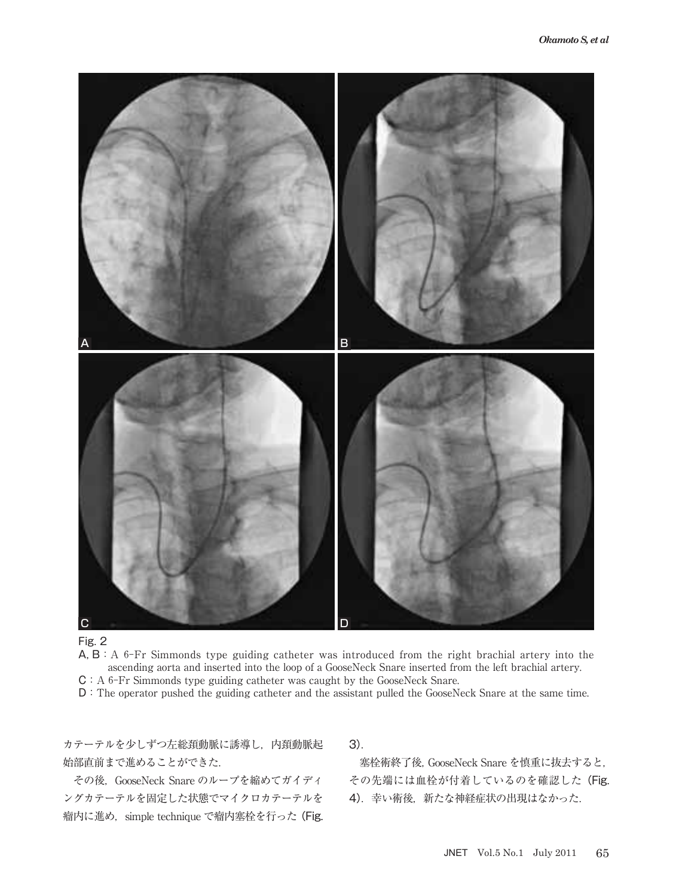



 $A, B: A$  6-Fr Simmonds type guiding catheter was introduced from the right brachial artery into the ascending aorta and inserted into the loop of a GooseNeck Snare inserted from the left brachial artery. C: A 6-Fr Simmonds type guiding catheter was caught by the GooseNeck Snare.

D:The operator pushed the guiding catheter and the assistant pulled the GooseNeck Snare at the same time.

カテーテルを少しずつ左総頚動脈に誘導し,内頚動脈起 始部直前まで進めることができた.

その後, GooseNeck Snare のループを縮めてガイディ ングカテーテルを固定した状態でマイクロカテーテルを 瘤内に進め,simple technique で瘤内塞栓を行った(Fig.

3).

塞栓術終了後,GooseNeck Snare を慎重に抜去すると, その先端には血栓が付着しているのを確認した(Fig. 4). 幸い術後, 新たな神経症状の出現はなかった.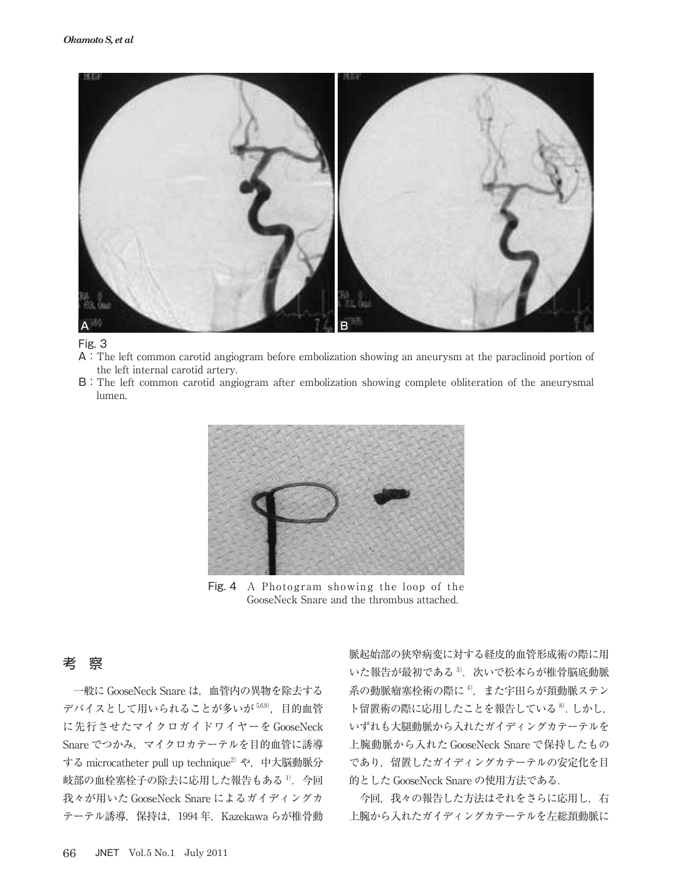

### Fig. 3

- A:The left common carotid angiogram before embolization showing an aneurysm at the paraclinoid portion of the left internal carotid artery.
- B:The left common carotid angiogram after embolization showing complete obliteration of the aneurysmal lumen.



Fig. 4 A Photogram showing the loop of the GooseNeck Snare and the thrombus attached.

## 考 察

一般に GooseNeck Snare は,血管内の異物を除去する デバイスとして用いられることが多いが 56.9), 目的血管 に先行させたマイクロガイドワイヤーを GooseNeck Snare でつかみ、マイクロカテーテルを目的血管に誘導 する microcatheter pull up technique<sup>2)</sup> や, 中大脳動脈分 岐部の血栓塞栓子の除去に応用した報告もある 1). 今回 我々が用いた GooseNeck Snare によるガイディングカ テーテル誘導, 保持は, 1994年, Kazekawa らが椎骨動 脈起始部の狭窄病変に対する経皮的血管形成術の際に用 いた報告が最初である $3$ . 次いで松本らが椎骨脳底動脈 系の動脈瘤塞栓術の際に $4$ , また宇田らが頚動脈ステン ト留置術の際に応用したことを報告している<sup>8</sup>.しかし, いずれも大腿動脈から入れたガイディングカテーテルを 上腕動脈から入れた GooseNeck Snare で保持したもの であり,留置したガイディングカテーテルの安定化を目 的とした GooseNeck Snare の使用方法である.

今回,我々の報告した方法はそれをさらに応用し、右 上腕から入れたガイディングカテーテルを左総頚動脈に